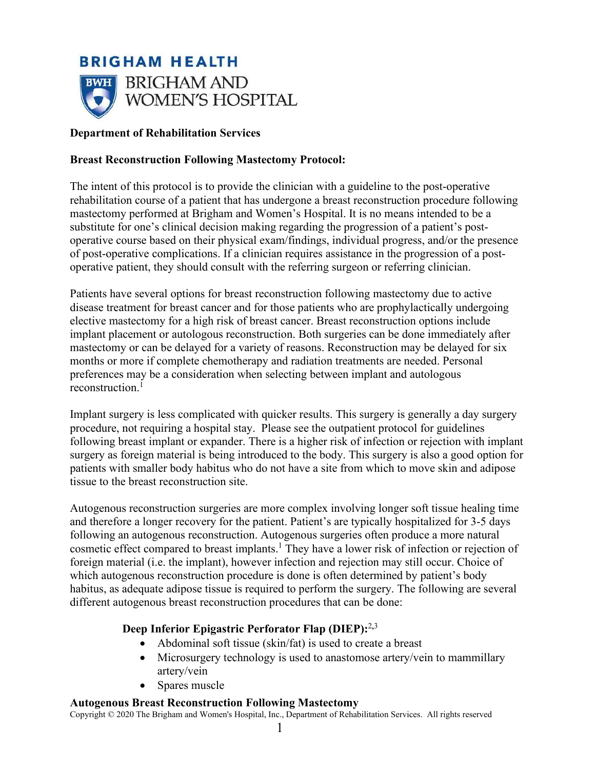

#### **Department of Rehabilitation Services**

#### **Breast Reconstruction Following Mastectomy Protocol:**

The intent of this protocol is to provide the clinician with a guideline to the post-operative rehabilitation course of a patient that has undergone a breast reconstruction procedure following mastectomy performed at Brigham and Women's Hospital. It is no means intended to be a substitute for one's clinical decision making regarding the progression of a patient's postoperative course based on their physical exam/findings, individual progress, and/or the presence of post-operative complications. If a clinician requires assistance in the progression of a postoperative patient, they should consult with the referring surgeon or referring clinician.

Patients have several options for breast reconstruction following mastectomy due to active disease treatment for breast cancer and for those patients who are prophylactically undergoing elective mastectomy for a high risk of breast cancer. Breast reconstruction options include implant placement or autologous reconstruction. Both surgeries can be done immediately after mastectomy or can be delayed for a variety of reasons. Reconstruction may be delayed for six months or more if complete chemotherapy and radiation treatments are needed. Personal preferences may be a consideration when selecting between implant and autologous reconstruction<sup>1</sup>

Implant surgery is less complicated with quicker results. This surgery is generally a day surgery procedure, not requiring a hospital stay. Please see the outpatient protocol for guidelines following breast implant or expander. There is a higher risk of infection or rejection with implant surgery as foreign material is being introduced to the body. This surgery is also a good option for patients with smaller body habitus who do not have a site from which to move skin and adipose tissue to the breast reconstruction site.

Autogenous reconstruction surgeries are more complex involving longer soft tissue healing time and therefore a longer recovery for the patient. Patient's are typically hospitalized for 3-5 days following an autogenous reconstruction. Autogenous surgeries often produce a more natural cosmetic effect compared to breast implants.<sup>1</sup> They have a lower risk of infection or rejection of foreign material (i.e. the implant), however infection and rejection may still occur. Choice of which autogenous reconstruction procedure is done is often determined by patient's body habitus, as adequate adipose tissue is required to perform the surgery. The following are several different autogenous breast reconstruction procedures that can be done:

### **Deep Inferior Epigastric Perforator Flap (DIEP):**<sup>2</sup>**,**<sup>3</sup>

- Abdominal soft tissue (skin/fat) is used to create a breast
- Microsurgery technology is used to anastomose artery/vein to mammillary artery/vein
- Spares muscle

#### **Autogenous Breast Reconstruction Following Mastectomy**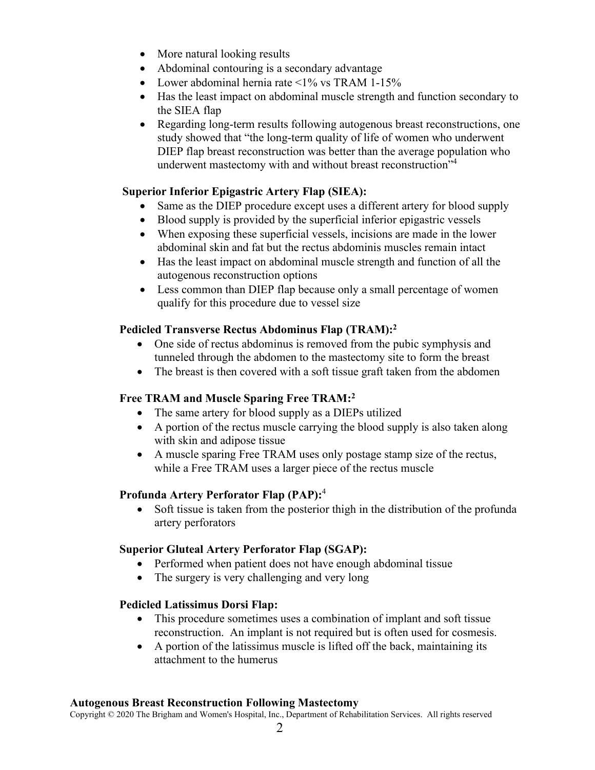- More natural looking results
- Abdominal contouring is a secondary advantage
- Lower abdominal hernia rate  $\leq 1\%$  vs TRAM 1-15%
- Has the least impact on abdominal muscle strength and function secondary to the SIEA flap
- Regarding long-term results following autogenous breast reconstructions, one study showed that "the long-term quality of life of women who underwent DIEP flap breast reconstruction was better than the average population who underwent mastectomy with and without breast reconstruction"<sup>4</sup>

#### **Superior Inferior Epigastric Artery Flap (SIEA):**

- Same as the DIEP procedure except uses a different artery for blood supply
- Blood supply is provided by the superficial inferior epigastric vessels
- When exposing these superficial vessels, incisions are made in the lower abdominal skin and fat but the rectus abdominis muscles remain intact
- Has the least impact on abdominal muscle strength and function of all the autogenous reconstruction options
- Less common than DIEP flap because only a small percentage of women qualify for this procedure due to vessel size

### **Pedicled Transverse Rectus Abdominus Flap (TRAM):<sup>2</sup>**

- One side of rectus abdominus is removed from the pubic symphysis and tunneled through the abdomen to the mastectomy site to form the breast
- The breast is then covered with a soft tissue graft taken from the abdomen

#### **Free TRAM and Muscle Sparing Free TRAM:<sup>2</sup>**

- The same artery for blood supply as a DIEPs utilized
- A portion of the rectus muscle carrying the blood supply is also taken along with skin and adipose tissue
- A muscle sparing Free TRAM uses only postage stamp size of the rectus, while a Free TRAM uses a larger piece of the rectus muscle

#### **Profunda Artery Perforator Flap (PAP):**<sup>4</sup>

• Soft tissue is taken from the posterior thigh in the distribution of the profunda artery perforators

#### **Superior Gluteal Artery Perforator Flap (SGAP):**

- Performed when patient does not have enough abdominal tissue
- The surgery is very challenging and very long

#### **Pedicled Latissimus Dorsi Flap:**

- This procedure sometimes uses a combination of implant and soft tissue reconstruction. An implant is not required but is often used for cosmesis.
- A portion of the latissimus muscle is lifted off the back, maintaining its attachment to the humerus

#### **Autogenous Breast Reconstruction Following Mastectomy**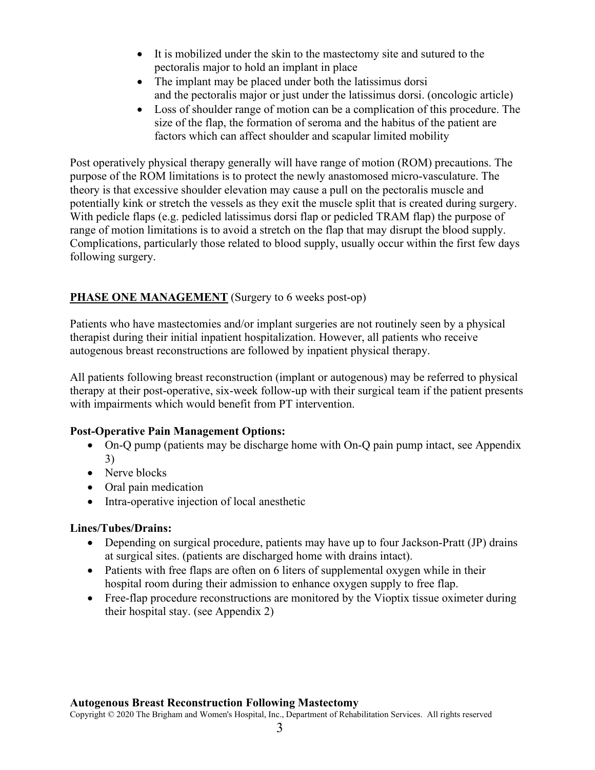- It is mobilized under the skin to the mastectomy site and sutured to the pectoralis major to hold an implant in place
- The implant may be placed under both the latissimus dorsi and the pectoralis major or just under the latissimus dorsi. (oncologic article)
- Loss of shoulder range of motion can be a complication of this procedure. The size of the flap, the formation of seroma and the habitus of the patient are factors which can affect shoulder and scapular limited mobility

Post operatively physical therapy generally will have range of motion (ROM) precautions. The purpose of the ROM limitations is to protect the newly anastomosed micro-vasculature. The theory is that excessive shoulder elevation may cause a pull on the pectoralis muscle and potentially kink or stretch the vessels as they exit the muscle split that is created during surgery. With pedicle flaps (e.g. pedicled latissimus dorsi flap or pedicled TRAM flap) the purpose of range of motion limitations is to avoid a stretch on the flap that may disrupt the blood supply. Complications, particularly those related to blood supply, usually occur within the first few days following surgery.

### **PHASE ONE MANAGEMENT** (Surgery to 6 weeks post-op)

Patients who have mastectomies and/or implant surgeries are not routinely seen by a physical therapist during their initial inpatient hospitalization. However, all patients who receive autogenous breast reconstructions are followed by inpatient physical therapy.

All patients following breast reconstruction (implant or autogenous) may be referred to physical therapy at their post-operative, six-week follow-up with their surgical team if the patient presents with impairments which would benefit from PT intervention.

#### **Post-Operative Pain Management Options:**

- On-Q pump (patients may be discharge home with On-Q pain pump intact, see Appendix 3)
- Nerve blocks
- Oral pain medication
- Intra-operative injection of local anesthetic

#### **Lines/Tubes/Drains:**

- Depending on surgical procedure, patients may have up to four Jackson-Pratt (JP) drains at surgical sites. (patients are discharged home with drains intact).
- Patients with free flaps are often on 6 liters of supplemental oxygen while in their hospital room during their admission to enhance oxygen supply to free flap.
- Free-flap procedure reconstructions are monitored by the Vioptix tissue oximeter during their hospital stay. (see Appendix 2)

#### **Autogenous Breast Reconstruction Following Mastectomy**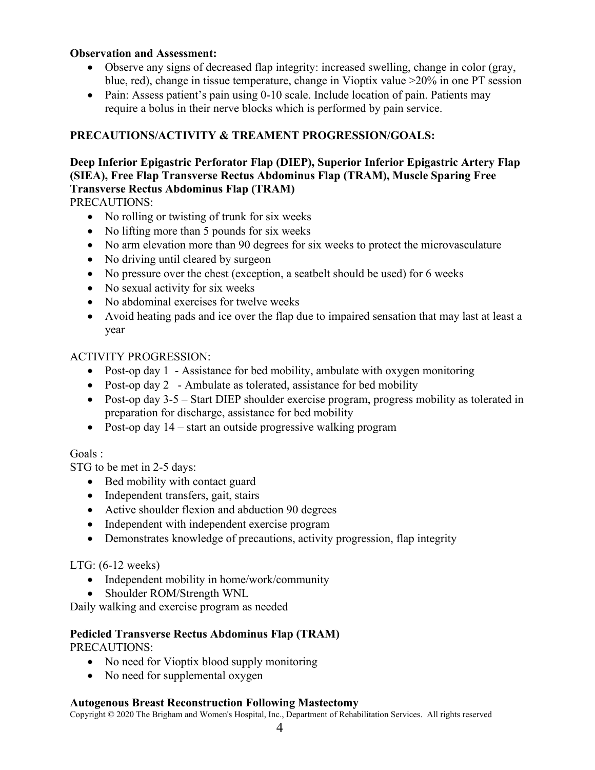#### **Observation and Assessment:**

- Observe any signs of decreased flap integrity: increased swelling, change in color (gray, blue, red), change in tissue temperature, change in Vioptix value >20% in one PT session
- Pain: Assess patient's pain using 0-10 scale. Include location of pain. Patients may require a bolus in their nerve blocks which is performed by pain service.

### **PRECAUTIONS/ACTIVITY & TREAMENT PROGRESSION/GOALS:**

### **Deep Inferior Epigastric Perforator Flap (DIEP), Superior Inferior Epigastric Artery Flap (SIEA), Free Flap Transverse Rectus Abdominus Flap (TRAM), Muscle Sparing Free Transverse Rectus Abdominus Flap (TRAM)**

PRECAUTIONS:

- No rolling or twisting of trunk for six weeks
- No lifting more than 5 pounds for six weeks
- No arm elevation more than 90 degrees for six weeks to protect the microvasculature
- No driving until cleared by surgeon
- No pressure over the chest (exception, a seatbelt should be used) for 6 weeks
- No sexual activity for six weeks
- No abdominal exercises for twelve weeks
- Avoid heating pads and ice over the flap due to impaired sensation that may last at least a year

#### ACTIVITY PROGRESSION:

- Post-op day 1 Assistance for bed mobility, ambulate with oxygen monitoring
- Post-op day 2 Ambulate as tolerated, assistance for bed mobility
- Post-op day 3-5 Start DIEP shoulder exercise program, progress mobility as tolerated in preparation for discharge, assistance for bed mobility
- Post-op day 14 start an outside progressive walking program

#### Goals :

STG to be met in 2-5 days:

- Bed mobility with contact guard
- Independent transfers, gait, stairs
- Active shoulder flexion and abduction 90 degrees
- Independent with independent exercise program
- Demonstrates knowledge of precautions, activity progression, flap integrity

#### LTG: (6-12 weeks)

- Independent mobility in home/work/community
- Shoulder ROM/Strength WNL

Daily walking and exercise program as needed

#### **Pedicled Transverse Rectus Abdominus Flap (TRAM)**  PRECAUTIONS:

- No need for Vioptix blood supply monitoring
- No need for supplemental oxygen

#### **Autogenous Breast Reconstruction Following Mastectomy**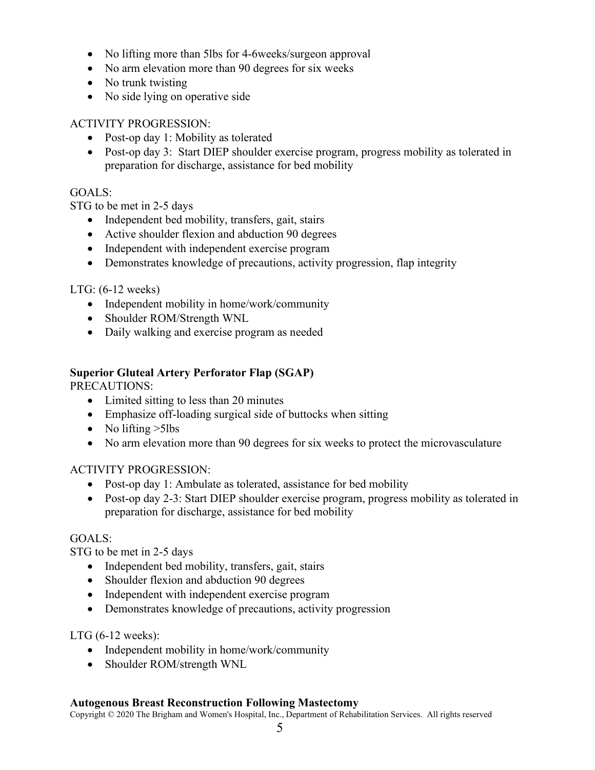- No lifting more than 5lbs for 4-6weeks/surgeon approval
- No arm elevation more than 90 degrees for six weeks
- No trunk twisting
- No side lying on operative side

### ACTIVITY PROGRESSION:

- Post-op day 1: Mobility as tolerated
- Post-op day 3: Start DIEP shoulder exercise program, progress mobility as tolerated in preparation for discharge, assistance for bed mobility

### GOALS:

STG to be met in 2-5 days

- Independent bed mobility, transfers, gait, stairs
- Active shoulder flexion and abduction 90 degrees
- Independent with independent exercise program
- Demonstrates knowledge of precautions, activity progression, flap integrity

#### LTG: (6-12 weeks)

- Independent mobility in home/work/community
- Shoulder ROM/Strength WNL
- Daily walking and exercise program as needed

### **Superior Gluteal Artery Perforator Flap (SGAP)**

PRECAUTIONS:

- Limited sitting to less than 20 minutes
- Emphasize off-loading surgical side of buttocks when sitting
- No lifting  $>5$ lbs
- No arm elevation more than 90 degrees for six weeks to protect the microvasculature

#### ACTIVITY PROGRESSION:

- Post-op day 1: Ambulate as tolerated, assistance for bed mobility
- Post-op day 2-3: Start DIEP shoulder exercise program, progress mobility as tolerated in preparation for discharge, assistance for bed mobility

#### GOALS:

STG to be met in 2-5 days

- Independent bed mobility, transfers, gait, stairs
- Shoulder flexion and abduction 90 degrees
- Independent with independent exercise program
- Demonstrates knowledge of precautions, activity progression

#### LTG (6-12 weeks):

- Independent mobility in home/work/community
- Shoulder ROM/strength WNL

#### **Autogenous Breast Reconstruction Following Mastectomy**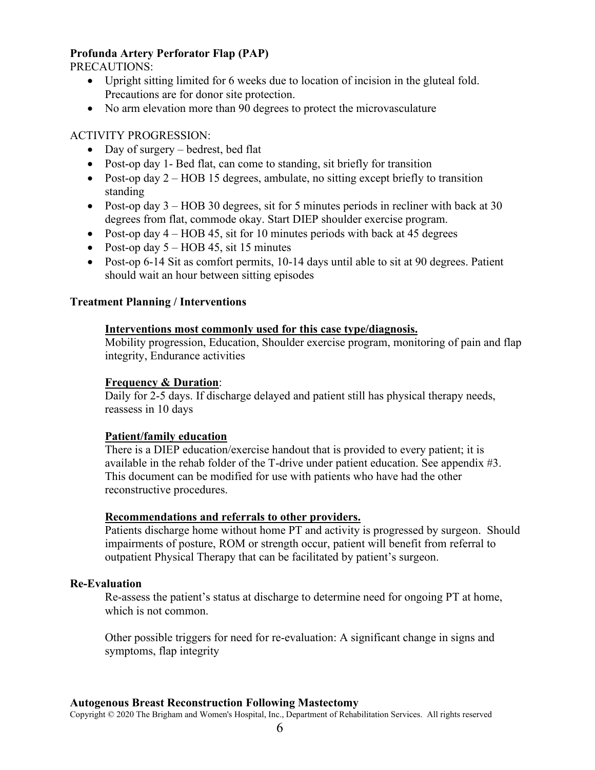#### **Profunda Artery Perforator Flap (PAP)**

PRECAUTIONS:

- Upright sitting limited for 6 weeks due to location of incision in the gluteal fold. Precautions are for donor site protection.
- No arm elevation more than 90 degrees to protect the microvasculature

#### ACTIVITY PROGRESSION:

- Day of surgery bedrest, bed flat
- Post-op day 1- Bed flat, can come to standing, sit briefly for transition
- Post-op day 2 HOB 15 degrees, ambulate, no sitting except briefly to transition standing
- Post-op day  $3 HOB$  30 degrees, sit for 5 minutes periods in recliner with back at 30 degrees from flat, commode okay. Start DIEP shoulder exercise program.
- Post-op day  $4 HOB$  45, sit for 10 minutes periods with back at 45 degrees
- Post-op day  $5 HOB$  45, sit 15 minutes
- Post-op 6-14 Sit as comfort permits, 10-14 days until able to sit at 90 degrees. Patient should wait an hour between sitting episodes

#### **Treatment Planning / Interventions**

#### **Interventions most commonly used for this case type/diagnosis.**

Mobility progression, Education, Shoulder exercise program, monitoring of pain and flap integrity, Endurance activities

#### **Frequency & Duration**:

Daily for 2-5 days. If discharge delayed and patient still has physical therapy needs, reassess in 10 days

#### **Patient/family education**

There is a DIEP education/exercise handout that is provided to every patient; it is available in the rehab folder of the T-drive under patient education. See appendix #3. This document can be modified for use with patients who have had the other reconstructive procedures.

#### **Recommendations and referrals to other providers.**

Patients discharge home without home PT and activity is progressed by surgeon. Should impairments of posture, ROM or strength occur, patient will benefit from referral to outpatient Physical Therapy that can be facilitated by patient's surgeon.

#### **Re-Evaluation**

Re-assess the patient's status at discharge to determine need for ongoing PT at home, which is not common.

Other possible triggers for need for re-evaluation: A significant change in signs and symptoms, flap integrity

#### **Autogenous Breast Reconstruction Following Mastectomy**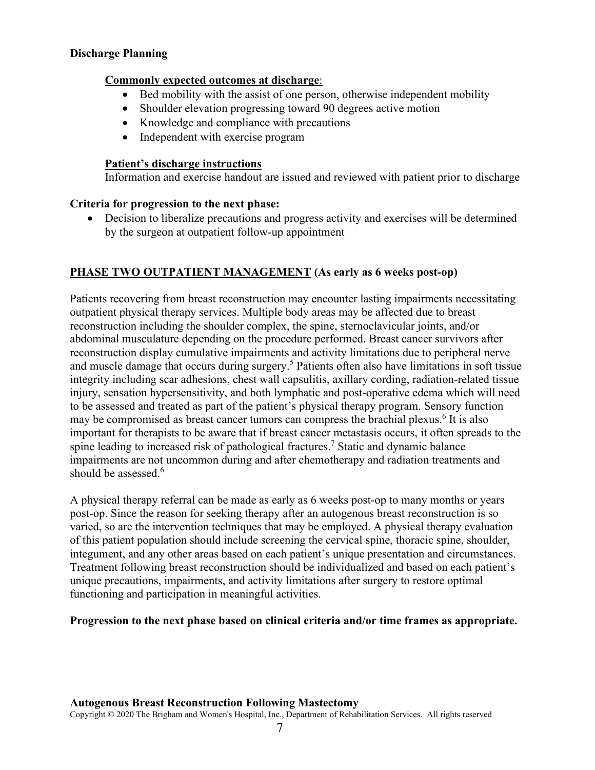#### **Discharge Planning**

#### **Commonly expected outcomes at discharge**:

- Bed mobility with the assist of one person, otherwise independent mobility
- Shoulder elevation progressing toward 90 degrees active motion
- Knowledge and compliance with precautions
- Independent with exercise program

#### **Patient's discharge instructions**

Information and exercise handout are issued and reviewed with patient prior to discharge

#### **Criteria for progression to the next phase:**

• Decision to liberalize precautions and progress activity and exercises will be determined by the surgeon at outpatient follow-up appointment

### **PHASE TWO OUTPATIENT MANAGEMENT (As early as 6 weeks post-op)**

Patients recovering from breast reconstruction may encounter lasting impairments necessitating outpatient physical therapy services. Multiple body areas may be affected due to breast reconstruction including the shoulder complex, the spine, sternoclavicular joints, and/or abdominal musculature depending on the procedure performed. Breast cancer survivors after reconstruction display cumulative impairments and activity limitations due to peripheral nerve and muscle damage that occurs during surgery.<sup>5</sup> Patients often also have limitations in soft tissue integrity including scar adhesions, chest wall capsulitis, axillary cording, radiation-related tissue injury, sensation hypersensitivity, and both lymphatic and post-operative edema which will need to be assessed and treated as part of the patient's physical therapy program. Sensory function may be compromised as breast cancer tumors can compress the brachial plexus.<sup>6</sup> It is also important for therapists to be aware that if breast cancer metastasis occurs, it often spreads to the spine leading to increased risk of pathological fractures.<sup>7</sup> Static and dynamic balance impairments are not uncommon during and after chemotherapy and radiation treatments and should be assessed.<sup>6</sup>

A physical therapy referral can be made as early as 6 weeks post-op to many months or years post-op. Since the reason for seeking therapy after an autogenous breast reconstruction is so varied, so are the intervention techniques that may be employed. A physical therapy evaluation of this patient population should include screening the cervical spine, thoracic spine, shoulder, integument, and any other areas based on each patient's unique presentation and circumstances. Treatment following breast reconstruction should be individualized and based on each patient's unique precautions, impairments, and activity limitations after surgery to restore optimal functioning and participation in meaningful activities.

**Progression to the next phase based on clinical criteria and/or time frames as appropriate.** 

#### **Autogenous Breast Reconstruction Following Mastectomy**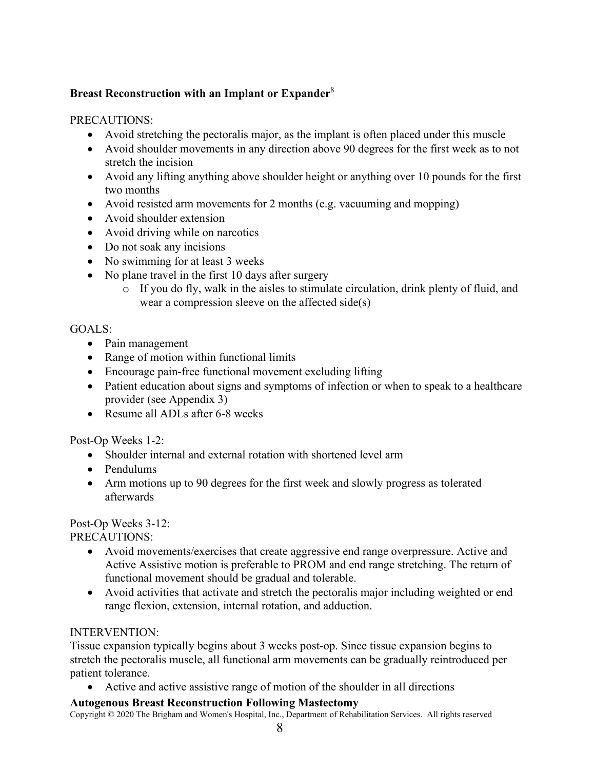### **Breast Reconstruction with an Implant or Expander**<sup>8</sup>

### PRECAUTIONS:

- Avoid stretching the pectoralis major, as the implant is often placed under this muscle
- Avoid shoulder movements in any direction above 90 degrees for the first week as to not stretch the incision
- Avoid any lifting anything above shoulder height or anything over 10 pounds for the first two months
- Avoid resisted arm movements for 2 months (e.g. vacuuming and mopping)
- Avoid shoulder extension
- Avoid driving while on narcotics
- Do not soak any incisions
- No swimming for at least 3 weeks
- No plane travel in the first 10 days after surgery
	- o If you do fly, walk in the aisles to stimulate circulation, drink plenty of fluid, and wear a compression sleeve on the affected side(s)

### GOALS:

- Pain management
- Range of motion within functional limits
- Encourage pain-free functional movement excluding lifting
- Patient education about signs and symptoms of infection or when to speak to a healthcare provider (see Appendix 3)
- Resume all ADLs after 6-8 weeks

Post-Op Weeks 1-2:

- Shoulder internal and external rotation with shortened level arm
- Pendulums
- Arm motions up to 90 degrees for the first week and slowly progress as tolerated afterwards

#### Post-Op Weeks 3-12:

PRECAUTIONS:

- Avoid movements/exercises that create aggressive end range overpressure. Active and Active Assistive motion is preferable to PROM and end range stretching. The return of functional movement should be gradual and tolerable.
- Avoid activities that activate and stretch the pectoralis major including weighted or end range flexion, extension, internal rotation, and adduction.

#### INTERVENTION:

Tissue expansion typically begins about 3 weeks post-op. Since tissue expansion begins to stretch the pectoralis muscle, all functional arm movements can be gradually reintroduced per patient tolerance.

• Active and active assistive range of motion of the shoulder in all directions

#### **Autogenous Breast Reconstruction Following Mastectomy**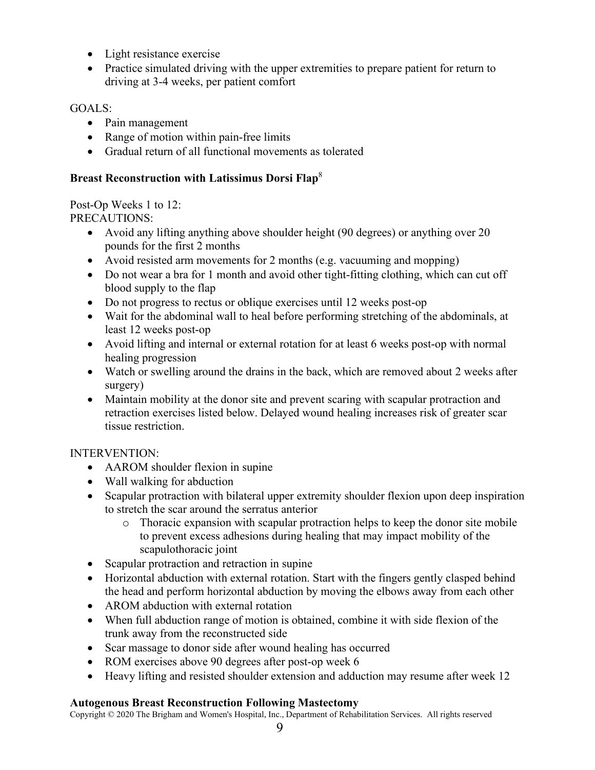- Light resistance exercise
- Practice simulated driving with the upper extremities to prepare patient for return to driving at 3-4 weeks, per patient comfort

### GOALS:

- Pain management
- Range of motion within pain-free limits
- Gradual return of all functional movements as tolerated

### **Breast Reconstruction with Latissimus Dorsi Flap**<sup>8</sup>

Post-Op Weeks 1 to 12: PRECAUTIONS:

- Avoid any lifting anything above shoulder height (90 degrees) or anything over 20 pounds for the first 2 months
- Avoid resisted arm movements for 2 months (e.g. vacuuming and mopping)
- Do not wear a bra for 1 month and avoid other tight-fitting clothing, which can cut off blood supply to the flap
- Do not progress to rectus or oblique exercises until 12 weeks post-op
- Wait for the abdominal wall to heal before performing stretching of the abdominals, at least 12 weeks post-op
- Avoid lifting and internal or external rotation for at least 6 weeks post-op with normal healing progression
- Watch or swelling around the drains in the back, which are removed about 2 weeks after surgery)
- Maintain mobility at the donor site and prevent scaring with scapular protraction and retraction exercises listed below. Delayed wound healing increases risk of greater scar tissue restriction.

### INTERVENTION:

- AAROM shoulder flexion in supine
- Wall walking for abduction
- Scapular protraction with bilateral upper extremity shoulder flexion upon deep inspiration to stretch the scar around the serratus anterior
	- o Thoracic expansion with scapular protraction helps to keep the donor site mobile to prevent excess adhesions during healing that may impact mobility of the scapulothoracic joint
- Scapular protraction and retraction in supine
- Horizontal abduction with external rotation. Start with the fingers gently clasped behind the head and perform horizontal abduction by moving the elbows away from each other
- AROM abduction with external rotation
- When full abduction range of motion is obtained, combine it with side flexion of the trunk away from the reconstructed side
- Scar massage to donor side after wound healing has occurred
- ROM exercises above 90 degrees after post-op week 6
- Heavy lifting and resisted shoulder extension and adduction may resume after week 12

### **Autogenous Breast Reconstruction Following Mastectomy**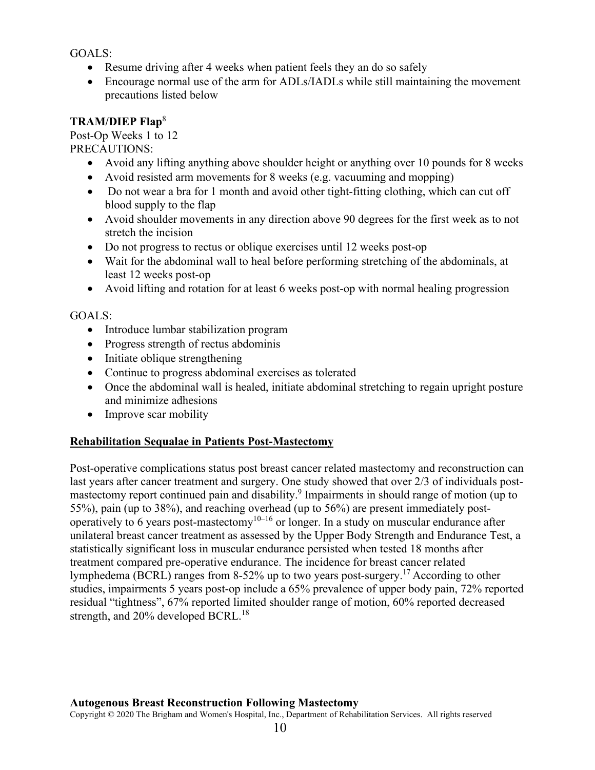GOALS:

- Resume driving after 4 weeks when patient feels they an do so safely
- Encourage normal use of the arm for ADLs/IADLs while still maintaining the movement precautions listed below

### **TRAM/DIEP Flap**<sup>8</sup>

Post-Op Weeks 1 to 12 PRECAUTIONS:

- Avoid any lifting anything above shoulder height or anything over 10 pounds for 8 weeks
- Avoid resisted arm movements for 8 weeks (e.g. vacuuming and mopping)
- Do not wear a bra for 1 month and avoid other tight-fitting clothing, which can cut off blood supply to the flap
- Avoid shoulder movements in any direction above 90 degrees for the first week as to not stretch the incision
- Do not progress to rectus or oblique exercises until 12 weeks post-op
- Wait for the abdominal wall to heal before performing stretching of the abdominals, at least 12 weeks post-op
- Avoid lifting and rotation for at least 6 weeks post-op with normal healing progression

### GOALS:

- Introduce lumbar stabilization program
- Progress strength of rectus abdominis
- Initiate oblique strengthening
- Continue to progress abdominal exercises as tolerated
- Once the abdominal wall is healed, initiate abdominal stretching to regain upright posture and minimize adhesions
- Improve scar mobility

#### **Rehabilitation Sequalae in Patients Post-Mastectomy**

Post-operative complications status post breast cancer related mastectomy and reconstruction can last years after cancer treatment and surgery. One study showed that over 2/3 of individuals postmastectomy report continued pain and disability.<sup>9</sup> Impairments in should range of motion (up to 55%), pain (up to 38%), and reaching overhead (up to 56%) are present immediately postoperatively to 6 years post-mastectomy<sup>10–16</sup> or longer. In a study on muscular endurance after unilateral breast cancer treatment as assessed by the Upper Body Strength and Endurance Test, a statistically significant loss in muscular endurance persisted when tested 18 months after treatment compared pre-operative endurance. The incidence for breast cancer related lymphedema (BCRL) ranges from 8-52% up to two years post-surgery.<sup>17</sup> According to other studies, impairments 5 years post-op include a 65% prevalence of upper body pain, 72% reported residual "tightness", 67% reported limited shoulder range of motion, 60% reported decreased strength, and  $20\%$  developed BCRL.<sup>18</sup>

#### **Autogenous Breast Reconstruction Following Mastectomy**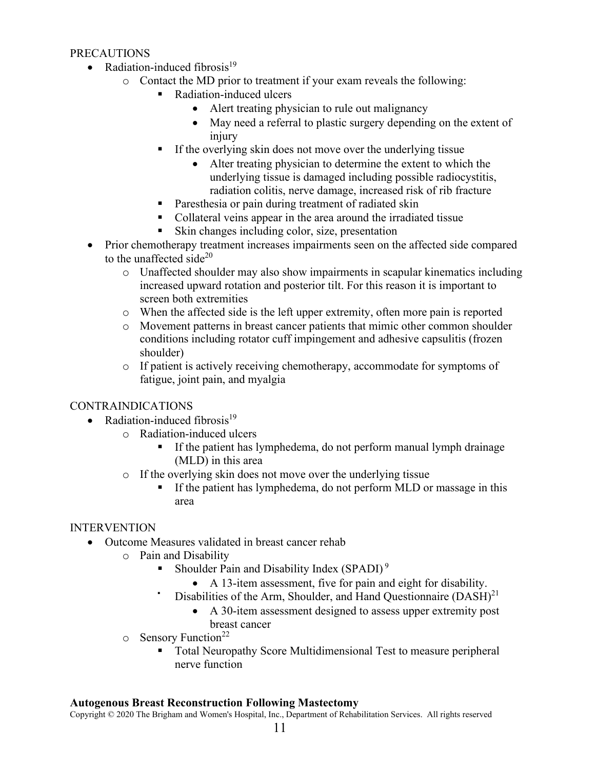#### PRECAUTIONS

- Radiation-induced fibrosis $19$ 
	- o Contact the MD prior to treatment if your exam reveals the following:
		- Radiation-induced ulcers
			- Alert treating physician to rule out malignancy
			- May need a referral to plastic surgery depending on the extent of injury
		- If the overlying skin does not move over the underlying tissue
			- Alter treating physician to determine the extent to which the underlying tissue is damaged including possible radiocystitis, radiation colitis, nerve damage, increased risk of rib fracture
		- **Paresthesia or pain during treatment of radiated skin**
		- Collateral veins appear in the area around the irradiated tissue
		- Skin changes including color, size, presentation
- Prior chemotherapy treatment increases impairments seen on the affected side compared to the unaffected side $^{20}$ 
	- o Unaffected shoulder may also show impairments in scapular kinematics including increased upward rotation and posterior tilt. For this reason it is important to screen both extremities
	- o When the affected side is the left upper extremity, often more pain is reported
	- o Movement patterns in breast cancer patients that mimic other common shoulder conditions including rotator cuff impingement and adhesive capsulitis (frozen shoulder)
	- o If patient is actively receiving chemotherapy, accommodate for symptoms of fatigue, joint pain, and myalgia

#### CONTRAINDICATIONS

- Radiation-induced fibrosis $19$ 
	- o Radiation-induced ulcers
		- If the patient has lymphedema, do not perform manual lymph drainage (MLD) in this area
		- o If the overlying skin does not move over the underlying tissue
			- If the patient has lymphedema, do not perform MLD or massage in this area

#### INTERVENTION

- Outcome Measures validated in breast cancer rehab
	- o Pain and Disability
		- Shoulder Pain and Disability Index (SPADI)<sup>9</sup>
			- A 13-item assessment, five for pain and eight for disability.
		- Disabilities of the Arm, Shoulder, and Hand Questionnaire  $(DASH)^{21}$ 
			- A 30-item assessment designed to assess upper extremity post breast cancer
	- $\circ$  Sensory Function<sup>22</sup>
		- Total Neuropathy Score Multidimensional Test to measure peripheral nerve function

#### **Autogenous Breast Reconstruction Following Mastectomy**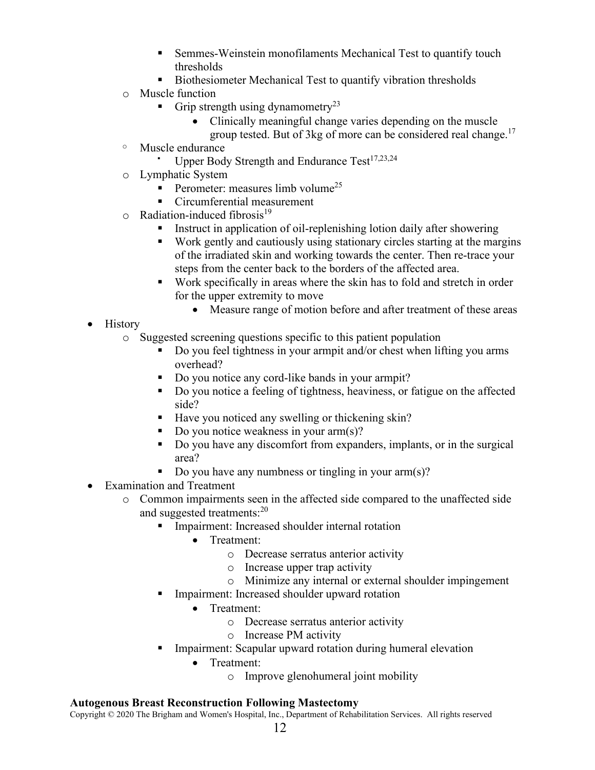- Semmes-Weinstein monofilaments Mechanical Test to quantify touch thresholds
- **Biothesiometer Mechanical Test to quantify vibration thresholds**
- o Muscle function
	- Grip strength using dynamometry<sup>23</sup>
		- Clinically meaningful change varies depending on the muscle
			- group tested. But of 3kg of more can be considered real change.<sup>17</sup>
- <sup>o</sup> Muscle endurance
	- Upper Body Strength and Endurance Test $17,23,24$
- o Lymphatic System
	- Perometer: measures limb volume<sup>25</sup>
	- Circumferential measurement
- $\circ$  Radiation-induced fibrosis<sup>19</sup>
	- Instruct in application of oil-replenishing lotion daily after showering
	- Work gently and cautiously using stationary circles starting at the margins of the irradiated skin and working towards the center. Then re-trace your steps from the center back to the borders of the affected area.
	- Work specifically in areas where the skin has to fold and stretch in order for the upper extremity to move
		- Measure range of motion before and after treatment of these areas
- History
	- o Suggested screening questions specific to this patient population
		- Do you feel tightness in your armpit and/or chest when lifting you arms overhead?
		- Do you notice any cord-like bands in your armpit?
		- Do you notice a feeling of tightness, heaviness, or fatigue on the affected side?
		- Have you noticed any swelling or thickening skin?
		- Do you notice weakness in your arm(s)?
		- Do you have any discomfort from expanders, implants, or in the surgical area?
		- Do you have any numbness or tingling in your  $arm(s)$ ?
- Examination and Treatment
	- o Common impairments seen in the affected side compared to the unaffected side and suggested treatments:<sup>20</sup>
		- **Impairment:** Increased shoulder internal rotation
			- Treatment:
				- o Decrease serratus anterior activity
				- o Increase upper trap activity
				- o Minimize any internal or external shoulder impingement
		- Impairment: Increased shoulder upward rotation
			- Treatment:
				- o Decrease serratus anterior activity
				- o Increase PM activity
		- Impairment: Scapular upward rotation during humeral elevation
			- Treatment:
				- o Improve glenohumeral joint mobility

#### **Autogenous Breast Reconstruction Following Mastectomy**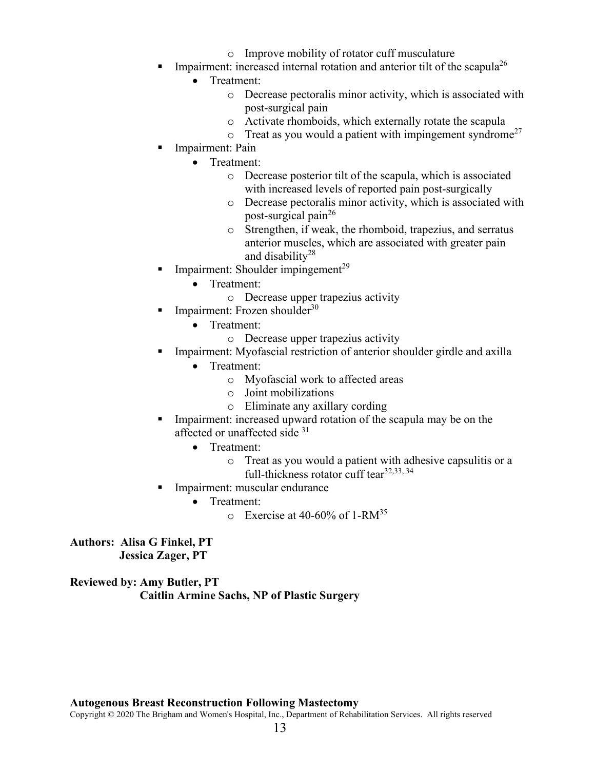- o Improve mobility of rotator cuff musculature
- Impairment: increased internal rotation and anterior tilt of the scapula<sup>26</sup>
	- Treatment:
		- o Decrease pectoralis minor activity, which is associated with post-surgical pain
		- o Activate rhomboids, which externally rotate the scapula
		- $\circ$  Treat as you would a patient with impingement syndrome<sup>27</sup>
- Impairment: Pain
	- Treatment:
		- o Decrease posterior tilt of the scapula, which is associated with increased levels of reported pain post-surgically
		- o Decrease pectoralis minor activity, which is associated with post-surgical pain<sup>26</sup>
		- o Strengthen, if weak, the rhomboid, trapezius, and serratus anterior muscles, which are associated with greater pain and disability<sup>28</sup>
- Impairment: Shoulder impingement $^{29}$ 
	- Treatment:
		- o Decrease upper trapezius activity
- $\blacksquare$  Impairment: Frozen shoulder<sup>30</sup>
	- Treatment:
		- o Decrease upper trapezius activity
- Impairment: Myofascial restriction of anterior shoulder girdle and axilla
	- Treatment:
		- o Myofascial work to affected areas
		- o Joint mobilizations
		- o Eliminate any axillary cording
- Impairment: increased upward rotation of the scapula may be on the affected or unaffected side <sup>31</sup>
	- Treatment:
		- o Treat as you would a patient with adhesive capsulitis or a full-thickness rotator cuff tear<sup>32,33, 34</sup>
- **Impairment: muscular endurance** 
	- Treatment:
		- $\circ$  Exercise at 40-60% of 1-RM<sup>35</sup>

**Authors: Alisa G Finkel, PT Jessica Zager, PT** 

**Reviewed by: Amy Butler, PT Caitlin Armine Sachs, NP of Plastic Surgery** 

#### **Autogenous Breast Reconstruction Following Mastectomy**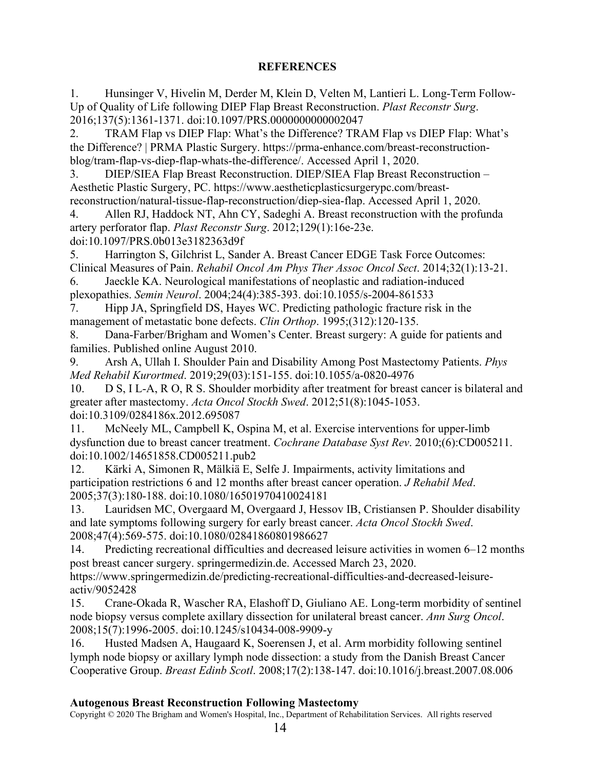### **REFERENCES**

1. Hunsinger V, Hivelin M, Derder M, Klein D, Velten M, Lantieri L. Long-Term Follow-Up of Quality of Life following DIEP Flap Breast Reconstruction. *Plast Reconstr Surg*. 2016;137(5):1361-1371. doi:10.1097/PRS.0000000000002047

2. TRAM Flap vs DIEP Flap: What's the Difference? TRAM Flap vs DIEP Flap: What's the Difference? | PRMA Plastic Surgery. https://prma-enhance.com/breast-reconstructionblog/tram-flap-vs-diep-flap-whats-the-difference/. Accessed April 1, 2020.

3. DIEP/SIEA Flap Breast Reconstruction. DIEP/SIEA Flap Breast Reconstruction – Aesthetic Plastic Surgery, PC. https://www.aestheticplasticsurgerypc.com/breastreconstruction/natural-tissue-flap-reconstruction/diep-siea-flap. Accessed April 1, 2020.

4. Allen RJ, Haddock NT, Ahn CY, Sadeghi A. Breast reconstruction with the profunda artery perforator flap. *Plast Reconstr Surg*. 2012;129(1):16e-23e. doi:10.1097/PRS.0b013e3182363d9f

5. Harrington S, Gilchrist L, Sander A. Breast Cancer EDGE Task Force Outcomes: Clinical Measures of Pain. *Rehabil Oncol Am Phys Ther Assoc Oncol Sect*. 2014;32(1):13-21.

6. Jaeckle KA. Neurological manifestations of neoplastic and radiation-induced plexopathies. *Semin Neurol*. 2004;24(4):385-393. doi:10.1055/s-2004-861533

7. Hipp JA, Springfield DS, Hayes WC. Predicting pathologic fracture risk in the management of metastatic bone defects. *Clin Orthop*. 1995;(312):120-135.

8. Dana-Farber/Brigham and Women's Center. Breast surgery: A guide for patients and families. Published online August 2010.

9. Arsh A, Ullah I. Shoulder Pain and Disability Among Post Mastectomy Patients. *Phys Med Rehabil Kurortmed*. 2019;29(03):151-155. doi:10.1055/a-0820-4976

10. D S, I L-A, R O, R S. Shoulder morbidity after treatment for breast cancer is bilateral and greater after mastectomy. *Acta Oncol Stockh Swed*. 2012;51(8):1045-1053. doi:10.3109/0284186x.2012.695087

11. McNeely ML, Campbell K, Ospina M, et al. Exercise interventions for upper-limb dysfunction due to breast cancer treatment. *Cochrane Database Syst Rev*. 2010;(6):CD005211. doi:10.1002/14651858.CD005211.pub2

12. Kärki A, Simonen R, Mälkiä E, Selfe J. Impairments, activity limitations and participation restrictions 6 and 12 months after breast cancer operation. *J Rehabil Med*. 2005;37(3):180-188. doi:10.1080/16501970410024181

13. Lauridsen MC, Overgaard M, Overgaard J, Hessov IB, Cristiansen P. Shoulder disability and late symptoms following surgery for early breast cancer. *Acta Oncol Stockh Swed*. 2008;47(4):569-575. doi:10.1080/02841860801986627

14. Predicting recreational difficulties and decreased leisure activities in women 6–12 months post breast cancer surgery. springermedizin.de. Accessed March 23, 2020.

https://www.springermedizin.de/predicting-recreational-difficulties-and-decreased-leisureactiv/9052428

15. Crane-Okada R, Wascher RA, Elashoff D, Giuliano AE. Long-term morbidity of sentinel node biopsy versus complete axillary dissection for unilateral breast cancer. *Ann Surg Oncol*. 2008;15(7):1996-2005. doi:10.1245/s10434-008-9909-y

16. Husted Madsen A, Haugaard K, Soerensen J, et al. Arm morbidity following sentinel lymph node biopsy or axillary lymph node dissection: a study from the Danish Breast Cancer Cooperative Group. *Breast Edinb Scotl*. 2008;17(2):138-147. doi:10.1016/j.breast.2007.08.006

#### **Autogenous Breast Reconstruction Following Mastectomy**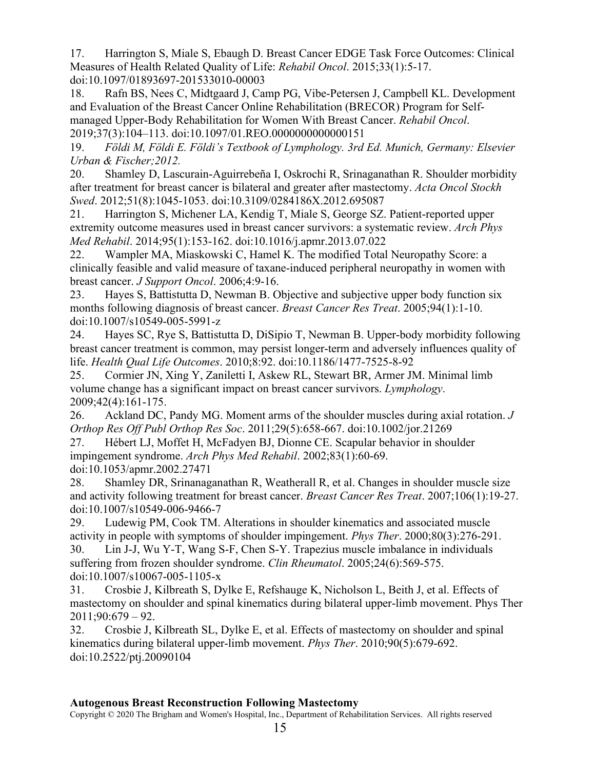17. Harrington S, Miale S, Ebaugh D. Breast Cancer EDGE Task Force Outcomes: Clinical Measures of Health Related Quality of Life: *Rehabil Oncol*. 2015;33(1):5-17. doi:10.1097/01893697-201533010-00003

18. Rafn BS, Nees C, Midtgaard J, Camp PG, Vibe-Petersen J, Campbell KL. Development and Evaluation of the Breast Cancer Online Rehabilitation (BRECOR) Program for Selfmanaged Upper-Body Rehabilitation for Women With Breast Cancer. *Rehabil Oncol*. 2019;37(3):104–113. doi:10.1097/01.REO.0000000000000151

19. *Földi M, Földi E. Földi's Textbook of Lymphology. 3rd Ed. Munich, Germany: Elsevier Urban & Fischer;2012.*

20. Shamley D, Lascurain-Aguirrebeña I, Oskrochi R, Srinaganathan R. Shoulder morbidity after treatment for breast cancer is bilateral and greater after mastectomy. *Acta Oncol Stockh Swed*. 2012;51(8):1045-1053. doi:10.3109/0284186X.2012.695087

21. Harrington S, Michener LA, Kendig T, Miale S, George SZ. Patient-reported upper extremity outcome measures used in breast cancer survivors: a systematic review. *Arch Phys Med Rehabil*. 2014;95(1):153-162. doi:10.1016/j.apmr.2013.07.022

22. Wampler MA, Miaskowski C, Hamel K. The modified Total Neuropathy Score: a clinically feasible and valid measure of taxane-induced peripheral neuropathy in women with breast cancer. *J Support Oncol*. 2006;4:9-16.

23. Hayes S, Battistutta D, Newman B. Objective and subjective upper body function six months following diagnosis of breast cancer. *Breast Cancer Res Treat*. 2005;94(1):1-10. doi:10.1007/s10549-005-5991-z

24. Hayes SC, Rye S, Battistutta D, DiSipio T, Newman B. Upper-body morbidity following breast cancer treatment is common, may persist longer-term and adversely influences quality of life. *Health Qual Life Outcomes*. 2010;8:92. doi:10.1186/1477-7525-8-92

25. Cormier JN, Xing Y, Zaniletti I, Askew RL, Stewart BR, Armer JM. Minimal limb volume change has a significant impact on breast cancer survivors. *Lymphology*. 2009;42(4):161-175.

26. Ackland DC, Pandy MG. Moment arms of the shoulder muscles during axial rotation. *J Orthop Res Off Publ Orthop Res Soc*. 2011;29(5):658-667. doi:10.1002/jor.21269

27. Hébert LJ, Moffet H, McFadyen BJ, Dionne CE. Scapular behavior in shoulder impingement syndrome. *Arch Phys Med Rehabil*. 2002;83(1):60-69. doi:10.1053/apmr.2002.27471

28. Shamley DR, Srinanaganathan R, Weatherall R, et al. Changes in shoulder muscle size and activity following treatment for breast cancer. *Breast Cancer Res Treat*. 2007;106(1):19-27. doi:10.1007/s10549-006-9466-7

29. Ludewig PM, Cook TM. Alterations in shoulder kinematics and associated muscle activity in people with symptoms of shoulder impingement. *Phys Ther*. 2000;80(3):276-291.

30. Lin J-J, Wu Y-T, Wang S-F, Chen S-Y. Trapezius muscle imbalance in individuals suffering from frozen shoulder syndrome. *Clin Rheumatol*. 2005;24(6):569-575. doi:10.1007/s10067-005-1105-x

31. Crosbie J, Kilbreath S, Dylke E, Refshauge K, Nicholson L, Beith J, et al. Effects of mastectomy on shoulder and spinal kinematics during bilateral upper-limb movement. Phys Ther 2011;90:679 – 92.

32. Crosbie J, Kilbreath SL, Dylke E, et al. Effects of mastectomy on shoulder and spinal kinematics during bilateral upper-limb movement. *Phys Ther*. 2010;90(5):679-692. doi:10.2522/ptj.20090104

#### **Autogenous Breast Reconstruction Following Mastectomy**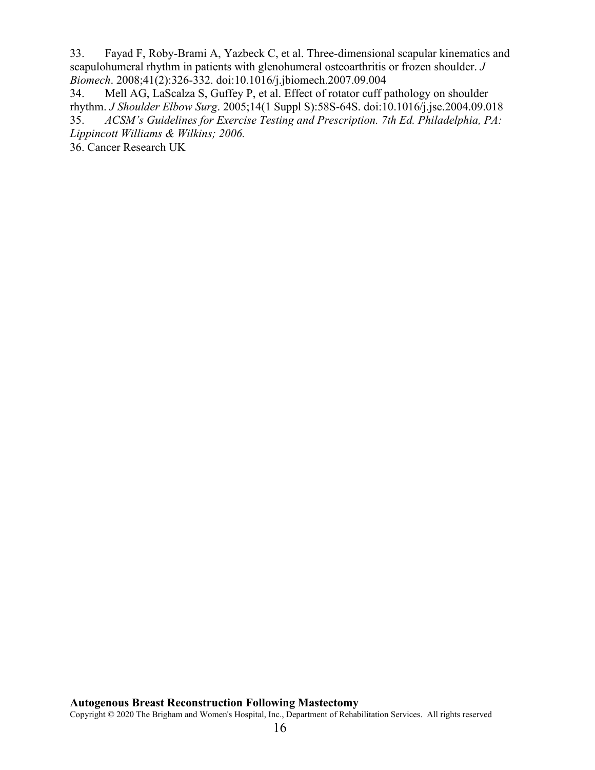33. Fayad F, Roby-Brami A, Yazbeck C, et al. Three-dimensional scapular kinematics and scapulohumeral rhythm in patients with glenohumeral osteoarthritis or frozen shoulder. *J Biomech*. 2008;41(2):326-332. doi:10.1016/j.jbiomech.2007.09.004

34. Mell AG, LaScalza S, Guffey P, et al. Effect of rotator cuff pathology on shoulder rhythm. *J Shoulder Elbow Surg*. 2005;14(1 Suppl S):58S-64S. doi:10.1016/j.jse.2004.09.018 35. *ACSM's Guidelines for Exercise Testing and Prescription. 7th Ed. Philadelphia, PA: Lippincott Williams & Wilkins; 2006.* 

36. Cancer Research UK

### **Autogenous Breast Reconstruction Following Mastectomy**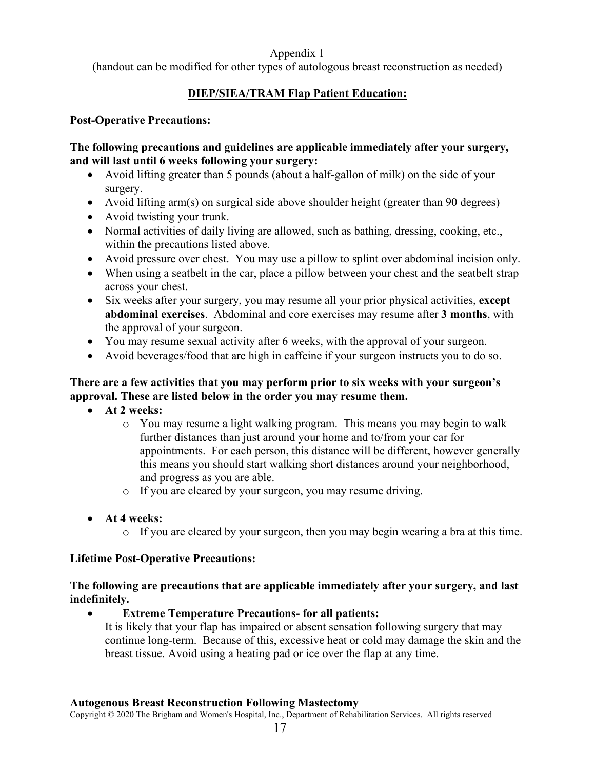### Appendix 1

(handout can be modified for other types of autologous breast reconstruction as needed)

# **DIEP/SIEA/TRAM Flap Patient Education:**

### **Post-Operative Precautions:**

#### **The following precautions and guidelines are applicable immediately after your surgery, and will last until 6 weeks following your surgery:**

- Avoid lifting greater than 5 pounds (about a half-gallon of milk) on the side of your surgery.
- Avoid lifting arm(s) on surgical side above shoulder height (greater than 90 degrees)
- Avoid twisting your trunk.
- Normal activities of daily living are allowed, such as bathing, dressing, cooking, etc., within the precautions listed above.
- Avoid pressure over chest. You may use a pillow to splint over abdominal incision only.
- When using a seatbelt in the car, place a pillow between your chest and the seatbelt strap across your chest.
- Six weeks after your surgery, you may resume all your prior physical activities, **except abdominal exercises**. Abdominal and core exercises may resume after **3 months**, with the approval of your surgeon.
- You may resume sexual activity after 6 weeks, with the approval of your surgeon.
- Avoid beverages/food that are high in caffeine if your surgeon instructs you to do so.

### **There are a few activities that you may perform prior to six weeks with your surgeon's approval. These are listed below in the order you may resume them.**

- **At 2 weeks:** 
	- o You may resume a light walking program. This means you may begin to walk further distances than just around your home and to/from your car for appointments. For each person, this distance will be different, however generally this means you should start walking short distances around your neighborhood, and progress as you are able.
	- o If you are cleared by your surgeon, you may resume driving.
- **At 4 weeks:** 
	- o If you are cleared by your surgeon, then you may begin wearing a bra at this time.

### **Lifetime Post-Operative Precautions:**

### **The following are precautions that are applicable immediately after your surgery, and last indefinitely.**

### • **Extreme Temperature Precautions- for all patients:**

It is likely that your flap has impaired or absent sensation following surgery that may continue long-term. Because of this, excessive heat or cold may damage the skin and the breast tissue. Avoid using a heating pad or ice over the flap at any time.

#### **Autogenous Breast Reconstruction Following Mastectomy**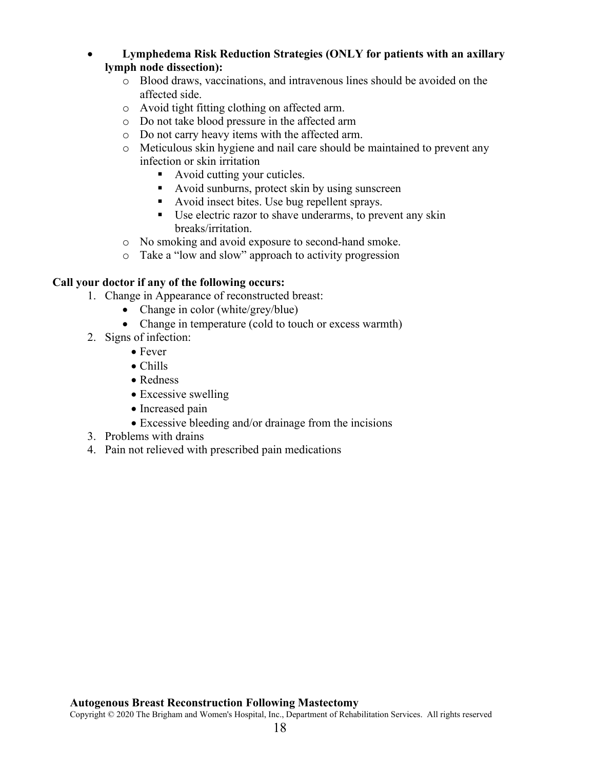#### • **Lymphedema Risk Reduction Strategies (ONLY for patients with an axillary lymph node dissection):**

- o Blood draws, vaccinations, and intravenous lines should be avoided on the affected side.
- o Avoid tight fitting clothing on affected arm.
- o Do not take blood pressure in the affected arm
- o Do not carry heavy items with the affected arm.
- o Meticulous skin hygiene and nail care should be maintained to prevent any infection or skin irritation
	- Avoid cutting your cuticles.
	- Avoid sunburns, protect skin by using sunscreen
	- Avoid insect bites. Use bug repellent sprays.
	- Use electric razor to shave underarms, to prevent any skin breaks/irritation.
- o No smoking and avoid exposure to second-hand smoke.
- o Take a "low and slow" approach to activity progression

### **Call your doctor if any of the following occurs:**

- 1. Change in Appearance of reconstructed breast:
	- Change in color (white/grey/blue)
	- Change in temperature (cold to touch or excess warmth)
- 2. Signs of infection:
	- Fever
	- Chills
	- Redness
	- Excessive swelling
	- Increased pain
	- Excessive bleeding and/or drainage from the incisions
- 3. Problems with drains
- 4. Pain not relieved with prescribed pain medications

#### **Autogenous Breast Reconstruction Following Mastectomy**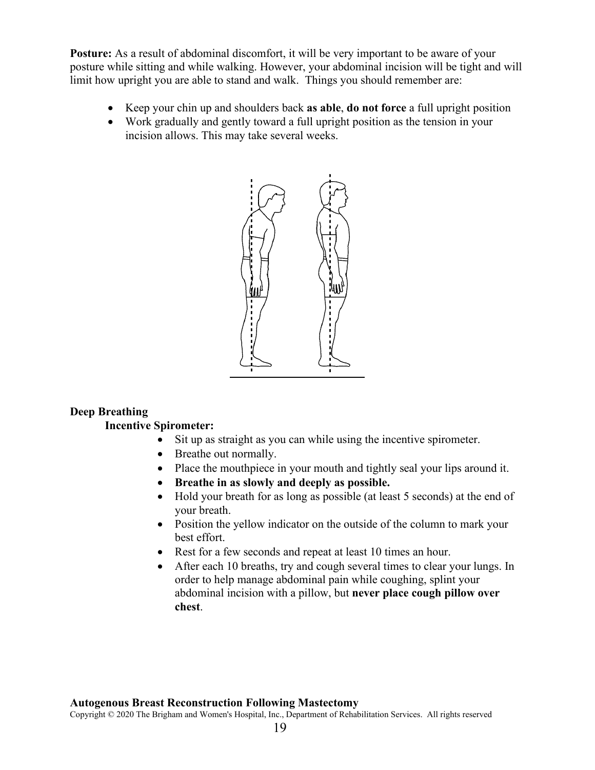**Posture:** As a result of abdominal discomfort, it will be very important to be aware of your posture while sitting and while walking. However, your abdominal incision will be tight and will limit how upright you are able to stand and walk. Things you should remember are:

- Keep your chin up and shoulders back **as able**, **do not force** a full upright position
- Work gradually and gently toward a full upright position as the tension in your incision allows. This may take several weeks.



#### **Deep Breathing**

#### **Incentive Spirometer:**

- Sit up as straight as you can while using the incentive spirometer.
- Breathe out normally.
- Place the mouthpiece in your mouth and tightly seal your lips around it.
- **Breathe in as slowly and deeply as possible.**
- Hold your breath for as long as possible (at least 5 seconds) at the end of your breath.
- Position the yellow indicator on the outside of the column to mark your best effort.
- Rest for a few seconds and repeat at least 10 times an hour.
- After each 10 breaths, try and cough several times to clear your lungs. In order to help manage abdominal pain while coughing, splint your abdominal incision with a pillow, but **never place cough pillow over chest**.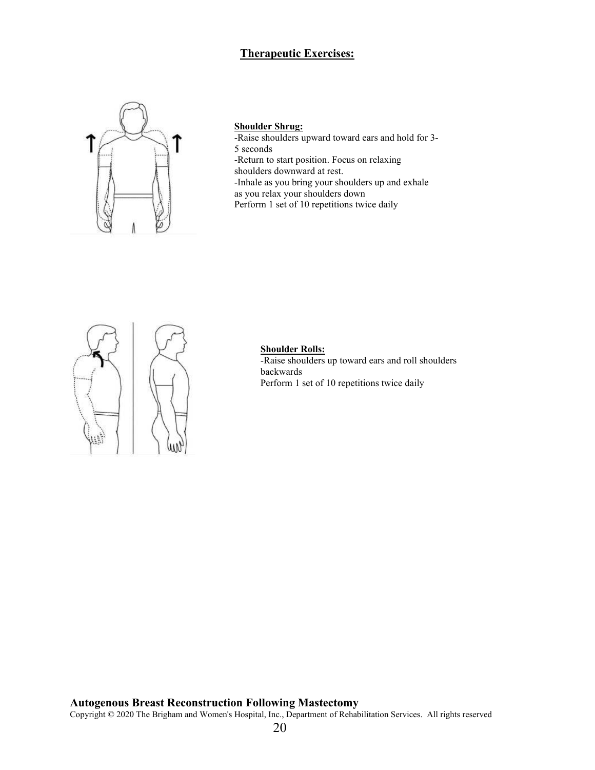### **Therapeutic Exercises:**



#### **Shoulder Shrug:**

-Raise shoulders upward toward ears and hold for 3- 5 seconds -Return to start position. Focus on relaxing

shoulders downward at rest. -Inhale as you bring your shoulders up and exhale

as you relax your shoulders down

Perform 1 set of 10 repetitions twice daily



#### **Shoulder Rolls:**

-Raise shoulders up toward ears and roll shoulders backwards Perform 1 set of 10 repetitions twice daily

#### **Autogenous Breast Reconstruction Following Mastectomy**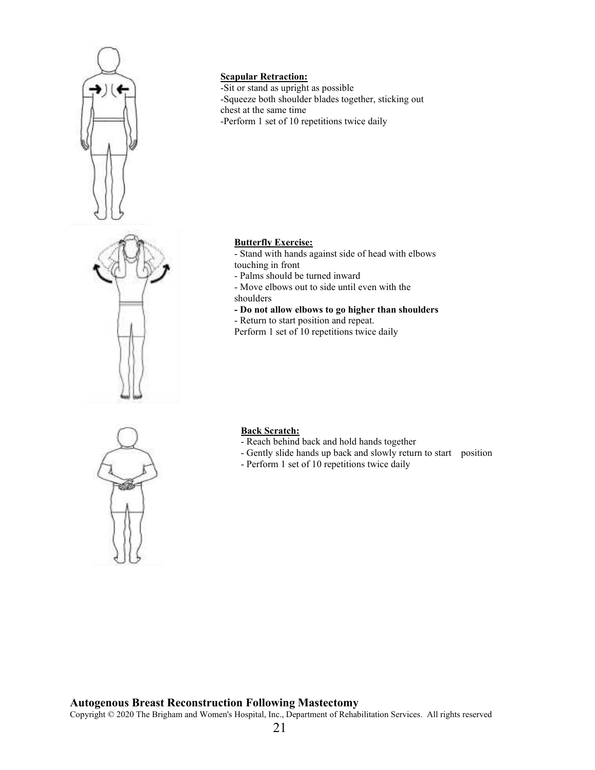

### **Scapular Retraction:**

-Sit or stand as upright as possible -Squeeze both shoulder blades together, sticking out chest at the same time -Perform 1 set of 10 repetitions twice daily

#### **Butterfly Exercise:**

- Stand with hands against side of head with elbows touching in front

- Palms should be turned inward

- Move elbows out to side until even with the shoulders

**- Do not allow elbows to go higher than shoulders** 

- Return to start position and repeat.

Perform 1 set of 10 repetitions twice daily



#### **Back Scratch:**

- Reach behind back and hold hands together
- Gently slide hands up back and slowly return to start position
- Perform 1 set of 10 repetitions twice daily

#### **Autogenous Breast Reconstruction Following Mastectomy**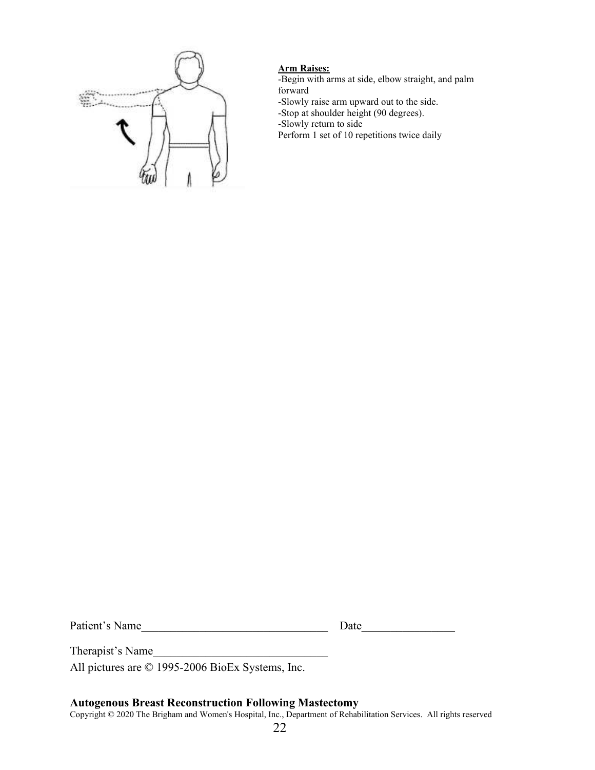

# **Arm Raises:**

-Begin with arms at side, elbow straight, and palm forward

-Slowly raise arm upward out to the side.

-Stop at shoulder height (90 degrees).

-Slowly return to side

Perform 1 set of 10 repetitions twice daily

Patient's Name\_\_\_\_\_\_\_\_\_\_\_\_\_\_\_\_\_\_\_\_\_\_\_\_\_\_\_\_\_\_\_\_ Date\_\_\_\_\_\_\_\_\_\_\_\_\_\_\_\_

Therapist's Name

All pictures are © 1995-2006 BioEx Systems, Inc.

#### **Autogenous Breast Reconstruction Following Mastectomy**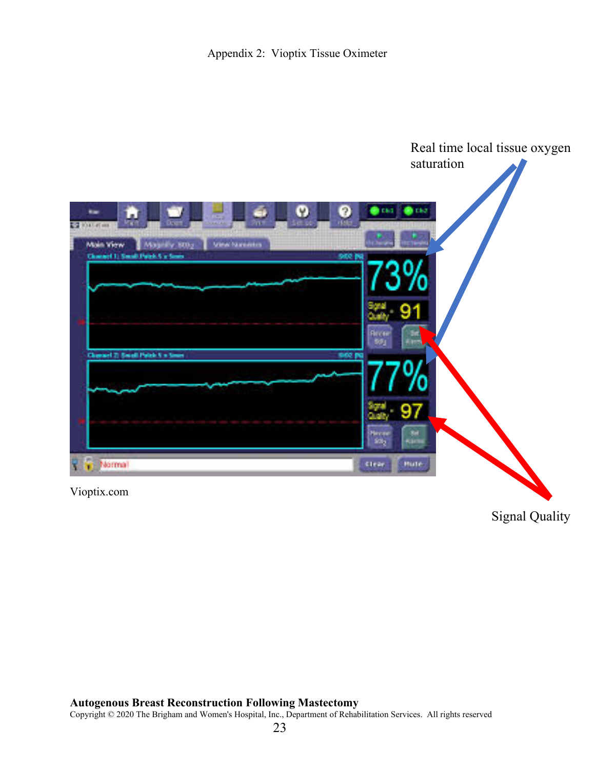

Vioptix.com

Signal Quality

### **Autogenous Breast Reconstruction Following Mastectomy**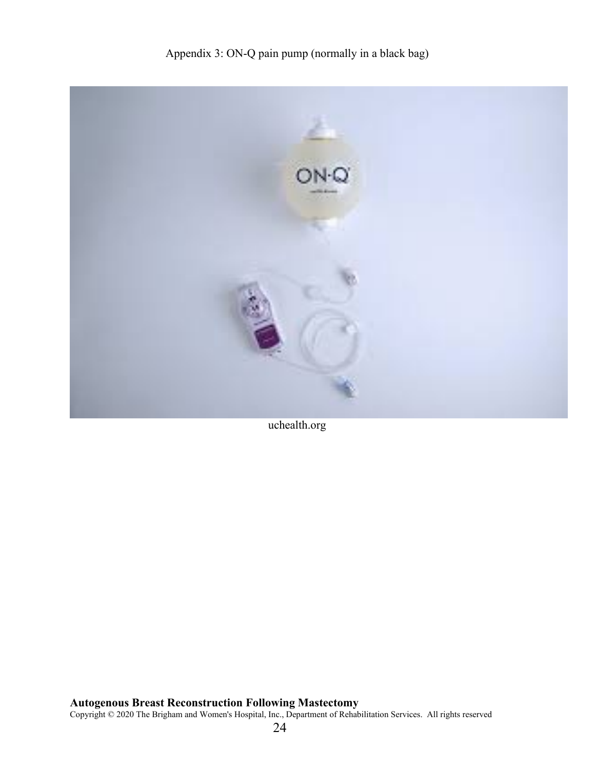

uchealth.org